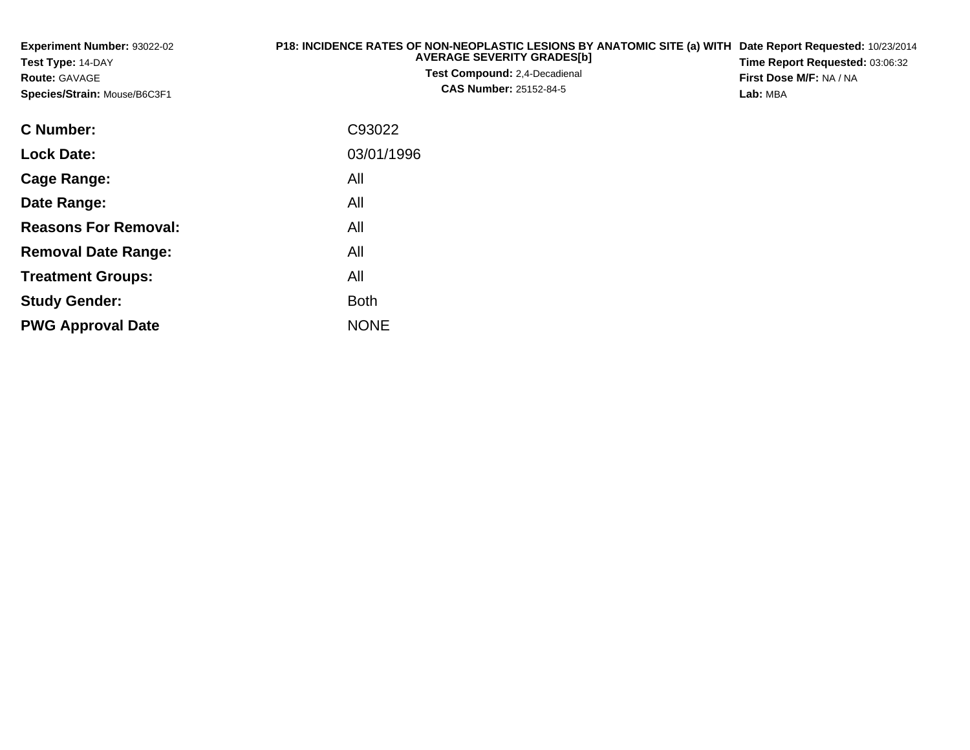| Experiment Number: 93022-02<br>Test Type: 14-DAY<br><b>Route: GAVAGE</b><br>Species/Strain: Mouse/B6C3F1 | <b>P18: INCIDENCE RATES OF NON-NEOPLASTIC LESIONS BY ANATOMIC SITE (a) WITH</b><br><b>AVERAGE SEVERITY GRADES[b]</b><br>Test Compound: 2,4-Decadienal<br><b>CAS Number: 25152-84-5</b> | Date Report Requested: 10/23/2014<br>Time Report Requested: 03:06:32<br>First Dose M/F: NA / NA<br>Lab: MBA |  |  |
|----------------------------------------------------------------------------------------------------------|----------------------------------------------------------------------------------------------------------------------------------------------------------------------------------------|-------------------------------------------------------------------------------------------------------------|--|--|
| <b>C</b> Number:                                                                                         | C93022                                                                                                                                                                                 |                                                                                                             |  |  |
| <b>Lock Date:</b>                                                                                        | 03/01/1996                                                                                                                                                                             |                                                                                                             |  |  |
| <b>Cage Range:</b>                                                                                       | All                                                                                                                                                                                    |                                                                                                             |  |  |
| Date Range:                                                                                              | All                                                                                                                                                                                    |                                                                                                             |  |  |
| <b>Reasons For Removal:</b>                                                                              | All                                                                                                                                                                                    |                                                                                                             |  |  |
| <b>Removal Date Range:</b>                                                                               | All                                                                                                                                                                                    |                                                                                                             |  |  |

**Treatment Groups:**

**PWG Approval Date**

**Study Gender:**

All

e NONE

Both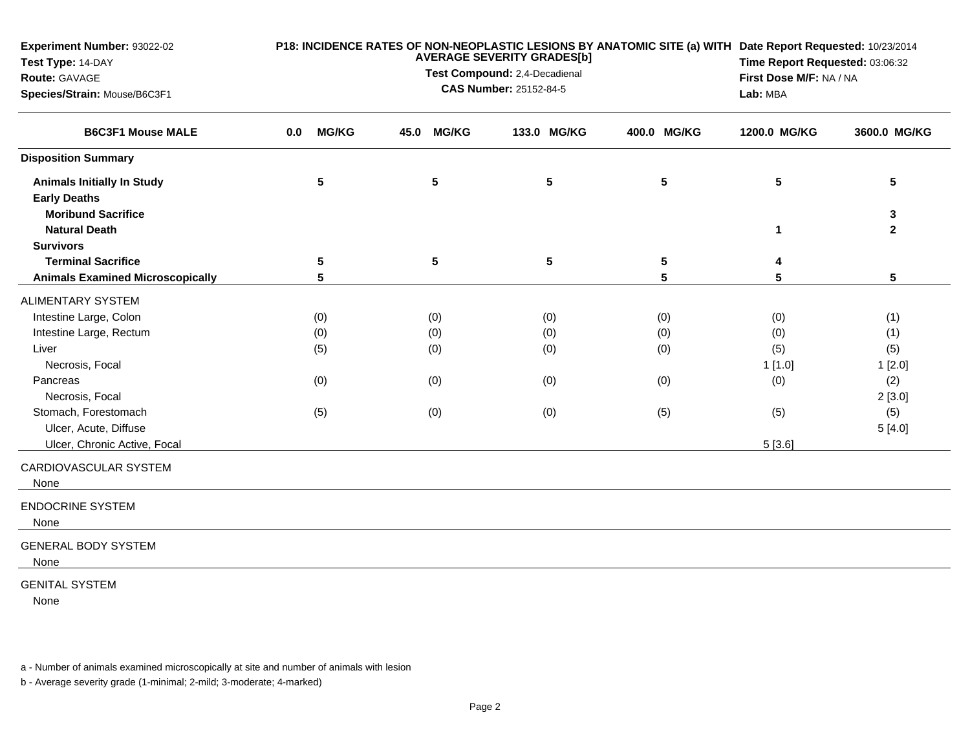| Experiment Number: 93022-02<br>Test Type: 14-DAY<br>Route: GAVAGE<br>Species/Strain: Mouse/B6C3F1 | P18: INCIDENCE RATES OF NON-NEOPLASTIC LESIONS BY ANATOMIC SITE (a) WITH Date Report Requested: 10/23/2014<br><b>AVERAGE SEVERITY GRADES[b]</b><br>Test Compound: 2,4-Decadienal<br><b>CAS Number: 25152-84-5</b> |                     |      |                 |             |           |  |                      | Time Report Requested: 03:06:32<br>First Dose M/F: NA / NA<br>Lab: MBA |                   |
|---------------------------------------------------------------------------------------------------|-------------------------------------------------------------------------------------------------------------------------------------------------------------------------------------------------------------------|---------------------|------|-----------------|-------------|-----------|--|----------------------|------------------------------------------------------------------------|-------------------|
| <b>B6C3F1 Mouse MALE</b>                                                                          | 0.0                                                                                                                                                                                                               | <b>MG/KG</b>        | 45.0 | <b>MG/KG</b>    | 133.0 MG/KG |           |  | 400.0 MG/KG          | 1200.0 MG/KG                                                           | 3600.0 MG/KG      |
| <b>Disposition Summary</b>                                                                        |                                                                                                                                                                                                                   |                     |      |                 |             |           |  |                      |                                                                        |                   |
| <b>Animals Initially In Study</b><br><b>Early Deaths</b>                                          |                                                                                                                                                                                                                   | 5                   |      | $5\phantom{.0}$ | 5           |           |  | $5\phantom{.0}$      | 5                                                                      | 5                 |
| <b>Moribund Sacrifice</b><br><b>Natural Death</b>                                                 |                                                                                                                                                                                                                   |                     |      |                 |             |           |  |                      | 1                                                                      | 3<br>$\mathbf{2}$ |
| <b>Survivors</b>                                                                                  |                                                                                                                                                                                                                   |                     |      |                 |             |           |  |                      |                                                                        |                   |
| <b>Terminal Sacrifice</b><br><b>Animals Examined Microscopically</b>                              |                                                                                                                                                                                                                   | 5<br>$5\phantom{1}$ |      | $\sqrt{5}$      |             | ${\bf 5}$ |  | $5\phantom{.0}$<br>5 | 4<br>5                                                                 | 5                 |
| <b>ALIMENTARY SYSTEM</b>                                                                          |                                                                                                                                                                                                                   |                     |      |                 |             |           |  |                      |                                                                        |                   |
| Intestine Large, Colon                                                                            |                                                                                                                                                                                                                   | (0)                 |      | (0)             | (0)         |           |  | (0)                  | (0)                                                                    | (1)               |
| Intestine Large, Rectum                                                                           |                                                                                                                                                                                                                   | (0)                 |      | (0)             | (0)         |           |  | (0)                  | (0)                                                                    | (1)               |
| Liver                                                                                             |                                                                                                                                                                                                                   | (5)                 |      | (0)             | (0)         |           |  | (0)                  | (5)                                                                    | (5)               |
| Necrosis, Focal                                                                                   |                                                                                                                                                                                                                   |                     |      |                 |             |           |  |                      | 1[1.0]                                                                 | 1[2.0]            |
| Pancreas                                                                                          |                                                                                                                                                                                                                   | (0)                 |      | (0)             | (0)         |           |  | (0)                  | (0)                                                                    | (2)               |
| Necrosis, Focal                                                                                   |                                                                                                                                                                                                                   |                     |      |                 |             |           |  |                      |                                                                        | 2[3.0]            |
| Stomach, Forestomach                                                                              |                                                                                                                                                                                                                   | (5)                 |      | (0)             | (0)         |           |  | (5)                  | (5)                                                                    | (5)               |
| Ulcer, Acute, Diffuse                                                                             |                                                                                                                                                                                                                   |                     |      |                 |             |           |  |                      |                                                                        | 5[4.0]            |
| Ulcer, Chronic Active, Focal                                                                      |                                                                                                                                                                                                                   |                     |      |                 |             |           |  |                      | 5[3.6]                                                                 |                   |
| CARDIOVASCULAR SYSTEM<br>None                                                                     |                                                                                                                                                                                                                   |                     |      |                 |             |           |  |                      |                                                                        |                   |
| <b>ENDOCRINE SYSTEM</b><br>None                                                                   |                                                                                                                                                                                                                   |                     |      |                 |             |           |  |                      |                                                                        |                   |
| <b>GENERAL BODY SYSTEM</b><br>None                                                                |                                                                                                                                                                                                                   |                     |      |                 |             |           |  |                      |                                                                        |                   |
| <b>GENITAL SYSTEM</b><br>None                                                                     |                                                                                                                                                                                                                   |                     |      |                 |             |           |  |                      |                                                                        |                   |

a - Number of animals examined microscopically at site and number of animals with lesion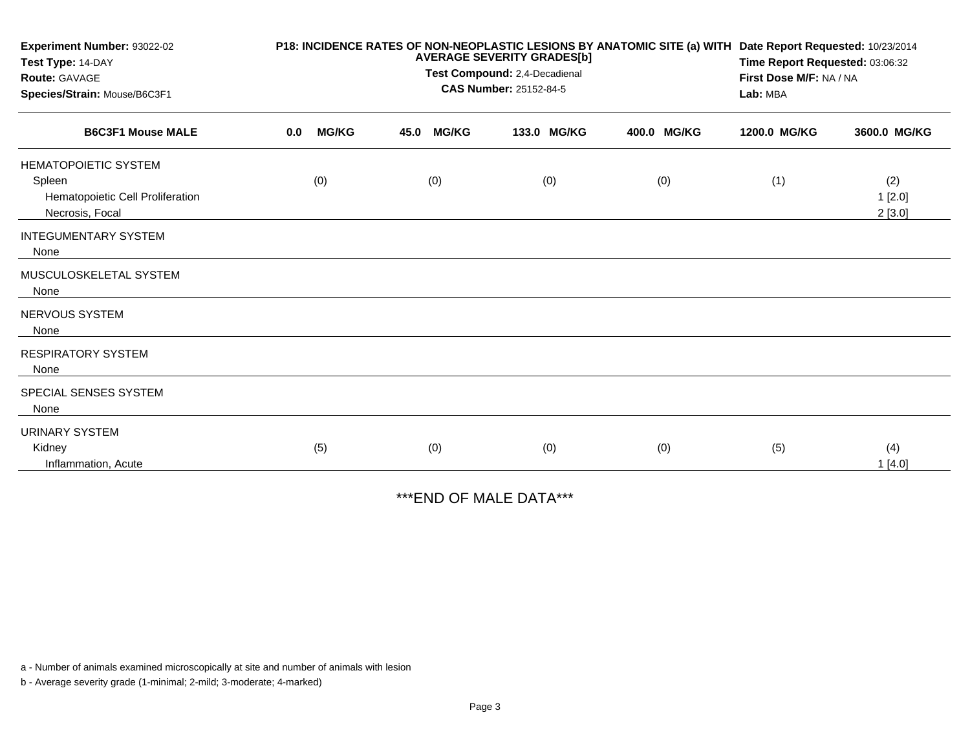| Experiment Number: 93022-02<br>Test Type: 14-DAY<br><b>Route: GAVAGE</b><br>Species/Strain: Mouse/B6C3F1 |     |              | P18: INCIDENCE RATES OF NON-NEOPLASTIC LESIONS BY ANATOMIC SITE (a) WITH Date Report Requested: 10/23/2014<br>Time Report Requested: 03:06:32<br>First Dose M/F: NA / NA<br>Lab: MBA |              |             |             |              |                         |
|----------------------------------------------------------------------------------------------------------|-----|--------------|--------------------------------------------------------------------------------------------------------------------------------------------------------------------------------------|--------------|-------------|-------------|--------------|-------------------------|
| <b>B6C3F1 Mouse MALE</b>                                                                                 | 0.0 | <b>MG/KG</b> | 45.0                                                                                                                                                                                 | <b>MG/KG</b> | 133.0 MG/KG | 400.0 MG/KG | 1200.0 MG/KG | 3600.0 MG/KG            |
| <b>HEMATOPOIETIC SYSTEM</b><br>Spleen<br>Hematopoietic Cell Proliferation<br>Necrosis, Focal             |     | (0)          |                                                                                                                                                                                      | (0)          | (0)         | (0)         | (1)          | (2)<br>1[2.0]<br>2[3.0] |
| <b>INTEGUMENTARY SYSTEM</b><br>None                                                                      |     |              |                                                                                                                                                                                      |              |             |             |              |                         |
| MUSCULOSKELETAL SYSTEM<br>None                                                                           |     |              |                                                                                                                                                                                      |              |             |             |              |                         |
| <b>NERVOUS SYSTEM</b><br>None                                                                            |     |              |                                                                                                                                                                                      |              |             |             |              |                         |
| <b>RESPIRATORY SYSTEM</b><br>None                                                                        |     |              |                                                                                                                                                                                      |              |             |             |              |                         |
| SPECIAL SENSES SYSTEM<br>None                                                                            |     |              |                                                                                                                                                                                      |              |             |             |              |                         |
| <b>URINARY SYSTEM</b><br>Kidney<br>Inflammation, Acute                                                   |     | (5)          |                                                                                                                                                                                      | (0)          | (0)         | (0)         | (5)          | (4)<br>1[4.0]           |

\*\*\*END OF MALE DATA\*\*\*

a - Number of animals examined microscopically at site and number of animals with lesion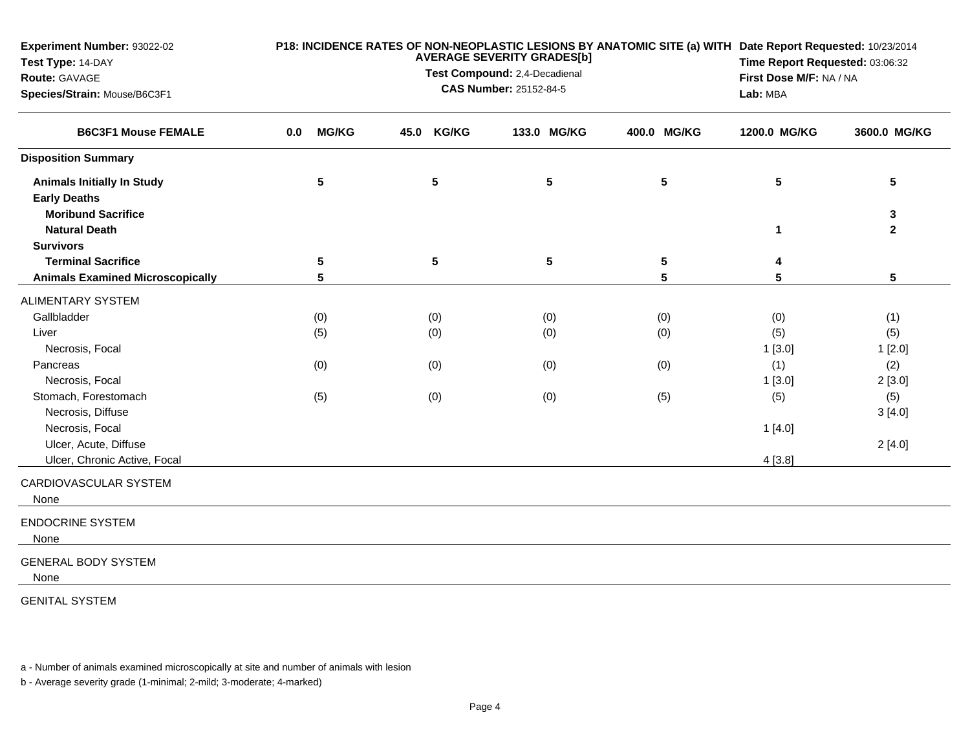| <b>Experiment Number: 93022-02</b><br>Test Type: 14-DAY<br>Route: GAVAGE<br>Species/Strain: Mouse/B6C3F1 |                     | Lab: MBA             | P18: INCIDENCE RATES OF NON-NEOPLASTIC LESIONS BY ANATOMIC SITE (a) WITH Date Report Requested: 10/23/2014<br>Time Report Requested: 03:06:32<br>First Dose M/F: NA / NA |                         |              |              |
|----------------------------------------------------------------------------------------------------------|---------------------|----------------------|--------------------------------------------------------------------------------------------------------------------------------------------------------------------------|-------------------------|--------------|--------------|
| <b>B6C3F1 Mouse FEMALE</b>                                                                               | <b>MG/KG</b><br>0.0 | <b>KG/KG</b><br>45.0 | 133.0 MG/KG                                                                                                                                                              | 400.0 MG/KG             | 1200.0 MG/KG | 3600.0 MG/KG |
| <b>Disposition Summary</b>                                                                               |                     |                      |                                                                                                                                                                          |                         |              |              |
| <b>Animals Initially In Study</b><br><b>Early Deaths</b>                                                 | 5                   | ${\bf 5}$            | 5                                                                                                                                                                        | $5\phantom{.0}$         | 5            | 5            |
| <b>Moribund Sacrifice</b><br><b>Natural Death</b>                                                        |                     |                      |                                                                                                                                                                          |                         | 1            | 3<br>2       |
| <b>Survivors</b><br><b>Terminal Sacrifice</b>                                                            | 5                   | ${\bf 5}$            | ${\bf 5}$                                                                                                                                                                | $\overline{\mathbf{5}}$ | 4            |              |
| <b>Animals Examined Microscopically</b>                                                                  | 5                   |                      |                                                                                                                                                                          | 5                       | 5            | 5            |
| <b>ALIMENTARY SYSTEM</b>                                                                                 |                     |                      |                                                                                                                                                                          |                         |              |              |
| Gallbladder                                                                                              | (0)                 | (0)                  | (0)                                                                                                                                                                      | (0)                     | (0)          | (1)          |
| Liver                                                                                                    | (5)                 | (0)                  | (0)                                                                                                                                                                      | (0)                     | (5)          | (5)          |
| Necrosis, Focal                                                                                          |                     |                      |                                                                                                                                                                          |                         | 1[3.0]       | 1[2.0]       |
| Pancreas                                                                                                 | (0)                 | (0)                  | (0)                                                                                                                                                                      | (0)                     | (1)          | (2)          |
| Necrosis, Focal                                                                                          |                     |                      |                                                                                                                                                                          |                         | 1[3.0]       | 2[3.0]       |
| Stomach, Forestomach                                                                                     | (5)                 | (0)                  | (0)                                                                                                                                                                      | (5)                     | (5)          | (5)          |
| Necrosis, Diffuse                                                                                        |                     |                      |                                                                                                                                                                          |                         |              | 3[4.0]       |
| Necrosis, Focal                                                                                          |                     |                      |                                                                                                                                                                          |                         | 1[4.0]       |              |
| Ulcer, Acute, Diffuse                                                                                    |                     |                      |                                                                                                                                                                          |                         |              | 2[4.0]       |
| Ulcer, Chronic Active, Focal                                                                             |                     |                      |                                                                                                                                                                          |                         | 4[3.8]       |              |
| CARDIOVASCULAR SYSTEM<br>None                                                                            |                     |                      |                                                                                                                                                                          |                         |              |              |
| <b>ENDOCRINE SYSTEM</b><br>None                                                                          |                     |                      |                                                                                                                                                                          |                         |              |              |
| <b>GENERAL BODY SYSTEM</b><br>None                                                                       |                     |                      |                                                                                                                                                                          |                         |              |              |
| <b>GENITAL SYSTEM</b>                                                                                    |                     |                      |                                                                                                                                                                          |                         |              |              |

a - Number of animals examined microscopically at site and number of animals with lesion